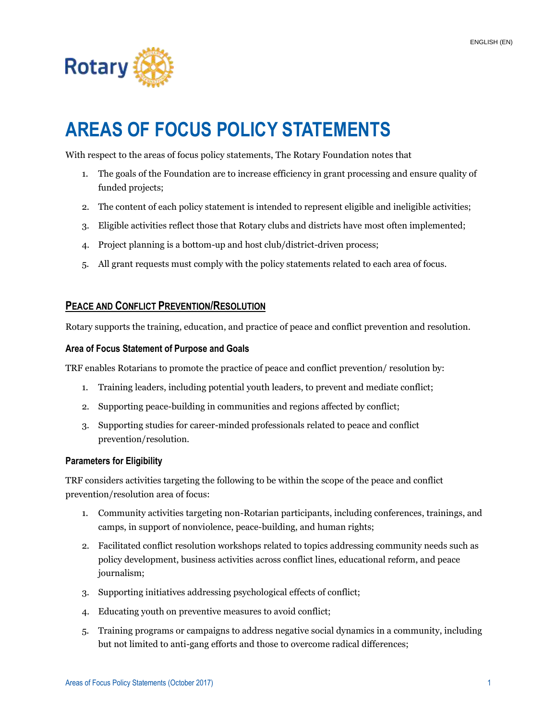

# **AREAS OF FOCUS POLICY STATEMENTS**

With respect to the areas of focus policy statements, The Rotary Foundation notes that

- 1. The goals of the Foundation are to increase efficiency in grant processing and ensure quality of funded projects;
- 2. The content of each policy statement is intended to represent eligible and ineligible activities;
- 3. Eligible activities reflect those that Rotary clubs and districts have most often implemented;
- 4. Project planning is a bottom-up and host club/district-driven process;
- 5. All grant requests must comply with the policy statements related to each area of focus.

## **PEACE AND CONFLICT PREVENTION/RESOLUTION**

Rotary supports the training, education, and practice of peace and conflict prevention and resolution.

#### **Area of Focus Statement of Purpose and Goals**

TRF enables Rotarians to promote the practice of peace and conflict prevention/ resolution by:

- 1. Training leaders, including potential youth leaders, to prevent and mediate conflict;
- 2. Supporting peace-building in communities and regions affected by conflict;
- 3. Supporting studies for career-minded professionals related to peace and conflict prevention/resolution.

#### **Parameters for Eligibility**

TRF considers activities targeting the following to be within the scope of the peace and conflict prevention/resolution area of focus:

- 1. Community activities targeting non-Rotarian participants, including conferences, trainings, and camps, in support of nonviolence, peace-building, and human rights;
- 2. Facilitated conflict resolution workshops related to topics addressing community needs such as policy development, business activities across conflict lines, educational reform, and peace journalism;
- 3. Supporting initiatives addressing psychological effects of conflict;
- 4. Educating youth on preventive measures to avoid conflict;
- 5. Training programs or campaigns to address negative social dynamics in a community, including but not limited to anti-gang efforts and those to overcome radical differences;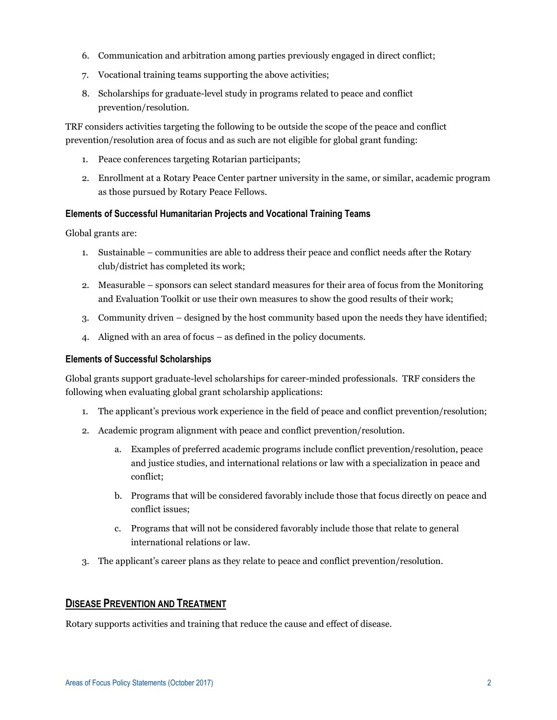- 6. Communication and arbitration among parties previously engaged in direct conflict;
- 7. Vocational training teams supporting the above activities;
- 8. Scholarships for graduate-level study in programs related to peace and conflict prevention/resolution.

TRF considers activities targeting the following to be outside the scope of the peace and conflict prevention/resolution area of focus and as such are not eligible for global grant funding:

- 1. Peace conferences targeting Rotarian participants;
- 2. Enrollment at a Rotary Peace Center partner university in the same, or similar, academic program as those pursued by Rotary Peace Fellows.

#### **Elements of Successful Humanitarian Projects and Vocational Training Teams**

Global grants are:

- 1. Sustainable communities are able to address their peace and conflict needs after the Rotary club/district has completed its work;
- 2. Measurable sponsors can select standard measures for their area of focus from the Monitoring and Evaluation Toolkit or use their own measures to show the good results of their work;
- 3. Community driven designed by the host community based upon the needs they have identified;
- 4. Aligned with an area of focus as defined in the policy documents.

#### **Elements of Successful Scholarships**

Global grants support graduate-level scholarships for career-minded professionals. TRF considers the following when evaluating global grant scholarship applications:

- 1. The applicant's previous work experience in the field of peace and conflict prevention/resolution;
- 2. Academic program alignment with peace and conflict prevention/resolution.
	- a. Examples of preferred academic programs include conflict prevention/resolution, peace and justice studies, and international relations or law with a specialization in peace and conflict;
	- b. Programs that will be considered favorably include those that focus directly on peace and conflict issues;
	- c. Programs that will not be considered favorably include those that relate to general international relations or law.
- 3. The applicant's career plans as they relate to peace and conflict prevention/resolution.

# **DISEASE PREVENTION AND TREATMENT**

Rotary supports activities and training that reduce the cause and effect of disease.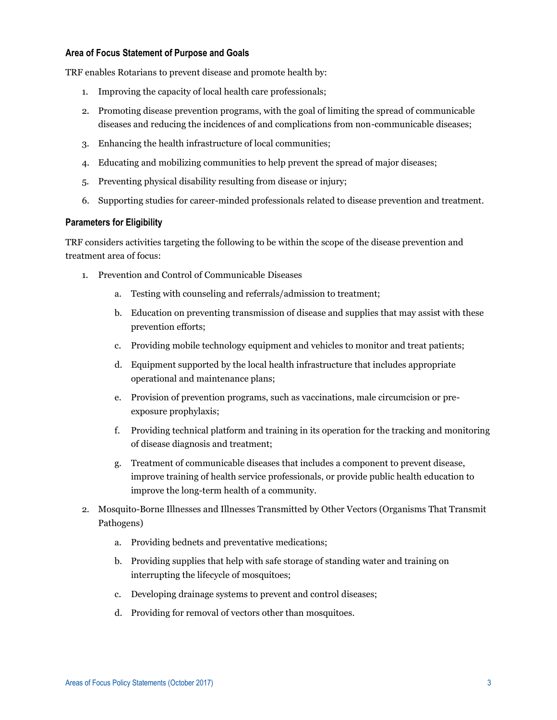#### **Area of Focus Statement of Purpose and Goals**

TRF enables Rotarians to prevent disease and promote health by:

- 1. Improving the capacity of local health care professionals;
- 2. Promoting disease prevention programs, with the goal of limiting the spread of communicable diseases and reducing the incidences of and complications from non-communicable diseases;
- 3. Enhancing the health infrastructure of local communities;
- 4. Educating and mobilizing communities to help prevent the spread of major diseases;
- 5. Preventing physical disability resulting from disease or injury;
- 6. Supporting studies for career-minded professionals related to disease prevention and treatment.

#### **Parameters for Eligibility**

TRF considers activities targeting the following to be within the scope of the disease prevention and treatment area of focus:

- 1. Prevention and Control of Communicable Diseases
	- a. Testing with counseling and referrals/admission to treatment;
	- b. Education on preventing transmission of disease and supplies that may assist with these prevention efforts;
	- c. Providing mobile technology equipment and vehicles to monitor and treat patients;
	- d. Equipment supported by the local health infrastructure that includes appropriate operational and maintenance plans;
	- e. Provision of prevention programs, such as vaccinations, male circumcision or preexposure prophylaxis;
	- f. Providing technical platform and training in its operation for the tracking and monitoring of disease diagnosis and treatment;
	- g. Treatment of communicable diseases that includes a component to prevent disease, improve training of health service professionals, or provide public health education to improve the long-term health of a community.
- 2. Mosquito-Borne Illnesses and Illnesses Transmitted by Other Vectors (Organisms That Transmit Pathogens)
	- a. Providing bednets and preventative medications;
	- b. Providing supplies that help with safe storage of standing water and training on interrupting the lifecycle of mosquitoes;
	- c. Developing drainage systems to prevent and control diseases;
	- d. Providing for removal of vectors other than mosquitoes.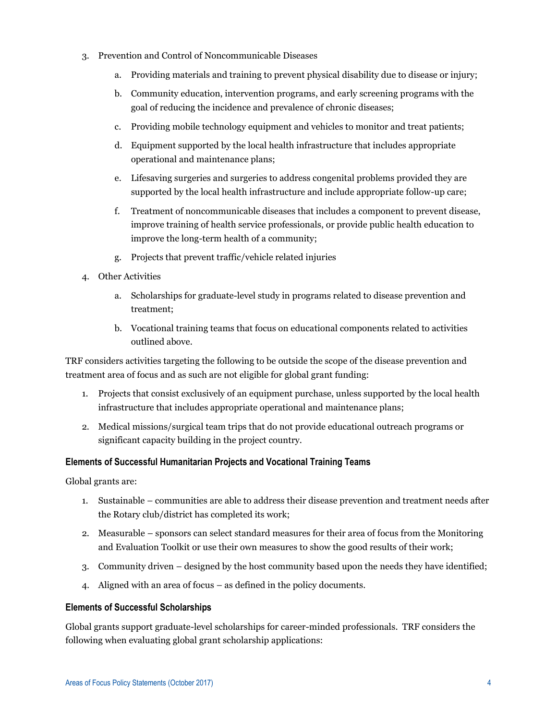- 3. Prevention and Control of Noncommunicable Diseases
	- a. Providing materials and training to prevent physical disability due to disease or injury;
	- b. Community education, intervention programs, and early screening programs with the goal of reducing the incidence and prevalence of chronic diseases;
	- c. Providing mobile technology equipment and vehicles to monitor and treat patients;
	- d. Equipment supported by the local health infrastructure that includes appropriate operational and maintenance plans;
	- e. Lifesaving surgeries and surgeries to address congenital problems provided they are supported by the local health infrastructure and include appropriate follow-up care;
	- f. Treatment of noncommunicable diseases that includes a component to prevent disease, improve training of health service professionals, or provide public health education to improve the long-term health of a community;
	- g. Projects that prevent traffic/vehicle related injuries
- 4. Other Activities
	- a. Scholarships for graduate-level study in programs related to disease prevention and treatment;
	- b. Vocational training teams that focus on educational components related to activities outlined above.

TRF considers activities targeting the following to be outside the scope of the disease prevention and treatment area of focus and as such are not eligible for global grant funding:

- 1. Projects that consist exclusively of an equipment purchase, unless supported by the local health infrastructure that includes appropriate operational and maintenance plans;
- 2. Medical missions/surgical team trips that do not provide educational outreach programs or significant capacity building in the project country.

#### **Elements of Successful Humanitarian Projects and Vocational Training Teams**

Global grants are:

- 1. Sustainable communities are able to address their disease prevention and treatment needs after the Rotary club/district has completed its work;
- 2. Measurable sponsors can select standard measures for their area of focus from the Monitoring and Evaluation Toolkit or use their own measures to show the good results of their work;
- 3. Community driven designed by the host community based upon the needs they have identified;
- 4. Aligned with an area of focus as defined in the policy documents.

#### **Elements of Successful Scholarships**

Global grants support graduate-level scholarships for career-minded professionals. TRF considers the following when evaluating global grant scholarship applications: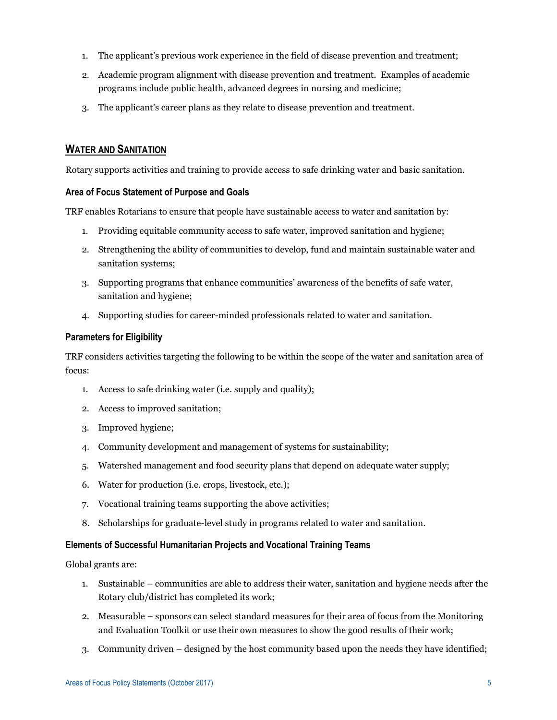- 1. The applicant's previous work experience in the field of disease prevention and treatment;
- 2. Academic program alignment with disease prevention and treatment. Examples of academic programs include public health, advanced degrees in nursing and medicine;
- 3. The applicant's career plans as they relate to disease prevention and treatment.

# **WATER AND SANITATION**

Rotary supports activities and training to provide access to safe drinking water and basic sanitation.

#### **Area of Focus Statement of Purpose and Goals**

TRF enables Rotarians to ensure that people have sustainable access to water and sanitation by:

- 1. Providing equitable community access to safe water, improved sanitation and hygiene;
- 2. Strengthening the ability of communities to develop, fund and maintain sustainable water and sanitation systems;
- 3. Supporting programs that enhance communities' awareness of the benefits of safe water, sanitation and hygiene;
- 4. Supporting studies for career-minded professionals related to water and sanitation.

#### **Parameters for Eligibility**

TRF considers activities targeting the following to be within the scope of the water and sanitation area of focus:

- 1. Access to safe drinking water (i.e. supply and quality);
- 2. Access to improved sanitation;
- 3. Improved hygiene;
- 4. Community development and management of systems for sustainability;
- 5. Watershed management and food security plans that depend on adequate water supply;
- 6. Water for production (i.e. crops, livestock, etc.);
- 7. Vocational training teams supporting the above activities;
- 8. Scholarships for graduate-level study in programs related to water and sanitation.

#### **Elements of Successful Humanitarian Projects and Vocational Training Teams**

Global grants are:

- 1. Sustainable communities are able to address their water, sanitation and hygiene needs after the Rotary club/district has completed its work;
- 2. Measurable sponsors can select standard measures for their area of focus from the Monitoring and Evaluation Toolkit or use their own measures to show the good results of their work;
- 3. Community driven designed by the host community based upon the needs they have identified;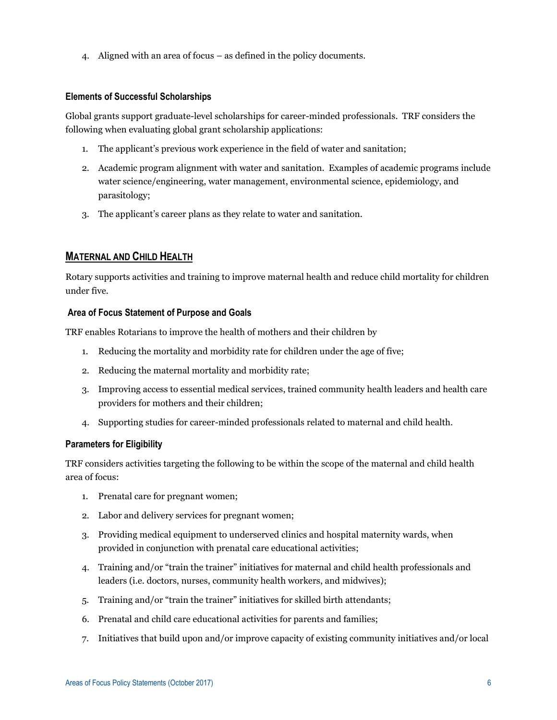4. Aligned with an area of focus – as defined in the policy documents.

## **Elements of Successful Scholarships**

Global grants support graduate-level scholarships for career-minded professionals. TRF considers the following when evaluating global grant scholarship applications:

- 1. The applicant's previous work experience in the field of water and sanitation;
- 2. Academic program alignment with water and sanitation. Examples of academic programs include water science/engineering, water management, environmental science, epidemiology, and parasitology;
- 3. The applicant's career plans as they relate to water and sanitation.

# **MATERNAL AND CHILD HEALTH**

Rotary supports activities and training to improve maternal health and reduce child mortality for children under five.

## **Area of Focus Statement of Purpose and Goals**

TRF enables Rotarians to improve the health of mothers and their children by

- 1. Reducing the mortality and morbidity rate for children under the age of five;
- 2. Reducing the maternal mortality and morbidity rate;
- 3. Improving access to essential medical services, trained community health leaders and health care providers for mothers and their children;
- 4. Supporting studies for career-minded professionals related to maternal and child health.

#### **Parameters for Eligibility**

TRF considers activities targeting the following to be within the scope of the maternal and child health area of focus:

- 1. Prenatal care for pregnant women;
- 2. Labor and delivery services for pregnant women;
- 3. Providing medical equipment to underserved clinics and hospital maternity wards, when provided in conjunction with prenatal care educational activities;
- 4. Training and/or "train the trainer" initiatives for maternal and child health professionals and leaders (i.e. doctors, nurses, community health workers, and midwives);
- 5. Training and/or "train the trainer" initiatives for skilled birth attendants;
- 6. Prenatal and child care educational activities for parents and families;
- 7. Initiatives that build upon and/or improve capacity of existing community initiatives and/or local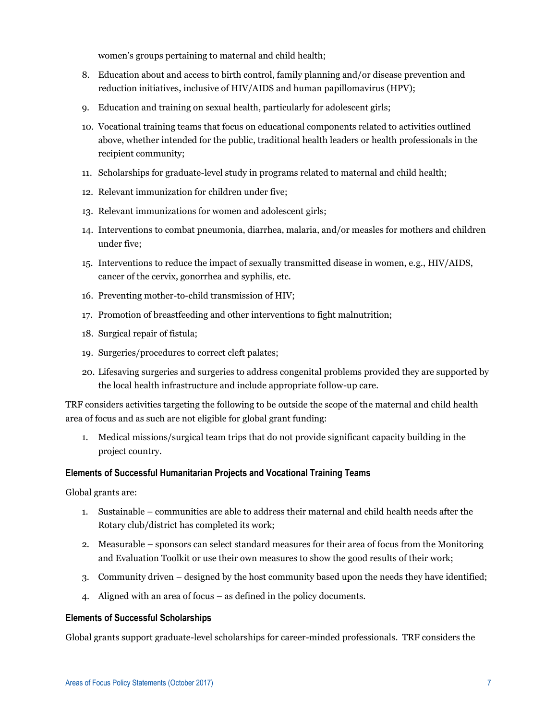women's groups pertaining to maternal and child health;

- 8. Education about and access to birth control, family planning and/or disease prevention and reduction initiatives, inclusive of HIV/AIDS and human papillomavirus (HPV);
- 9. Education and training on sexual health, particularly for adolescent girls;
- 10. Vocational training teams that focus on educational components related to activities outlined above, whether intended for the public, traditional health leaders or health professionals in the recipient community;
- 11. Scholarships for graduate-level study in programs related to maternal and child health;
- 12. Relevant immunization for children under five;
- 13. Relevant immunizations for women and adolescent girls;
- 14. Interventions to combat pneumonia, diarrhea, malaria, and/or measles for mothers and children under five;
- 15. Interventions to reduce the impact of sexually transmitted disease in women, e.g., HIV/AIDS, cancer of the cervix, gonorrhea and syphilis, etc.
- 16. Preventing mother-to-child transmission of HIV;
- 17. Promotion of breastfeeding and other interventions to fight malnutrition;
- 18. Surgical repair of fistula;
- 19. Surgeries/procedures to correct cleft palates;
- 20. Lifesaving surgeries and surgeries to address congenital problems provided they are supported by the local health infrastructure and include appropriate follow-up care.

TRF considers activities targeting the following to be outside the scope of the maternal and child health area of focus and as such are not eligible for global grant funding:

1. Medical missions/surgical team trips that do not provide significant capacity building in the project country.

#### **Elements of Successful Humanitarian Projects and Vocational Training Teams**

Global grants are:

- 1. Sustainable communities are able to address their maternal and child health needs after the Rotary club/district has completed its work;
- 2. Measurable sponsors can select standard measures for their area of focus from the Monitoring and Evaluation Toolkit or use their own measures to show the good results of their work;
- 3. Community driven designed by the host community based upon the needs they have identified;
- 4. Aligned with an area of focus as defined in the policy documents.

#### **Elements of Successful Scholarships**

Global grants support graduate-level scholarships for career-minded professionals. TRF considers the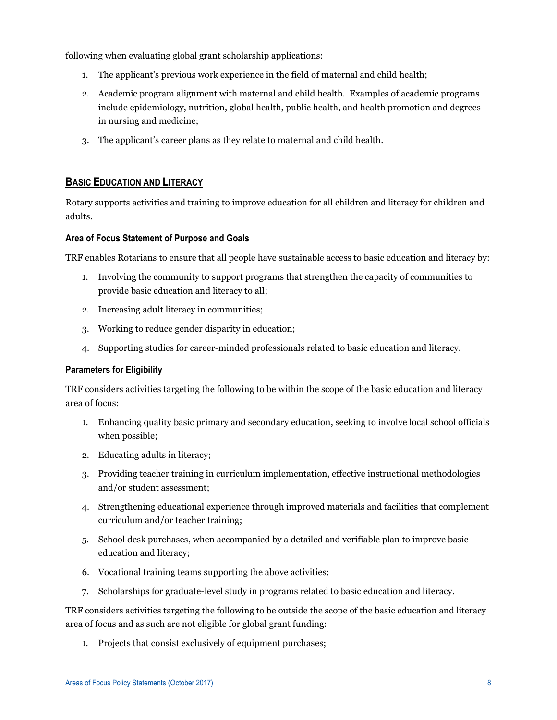following when evaluating global grant scholarship applications:

- 1. The applicant's previous work experience in the field of maternal and child health;
- 2. Academic program alignment with maternal and child health. Examples of academic programs include epidemiology, nutrition, global health, public health, and health promotion and degrees in nursing and medicine;
- 3. The applicant's career plans as they relate to maternal and child health.

# **BASIC EDUCATION AND LITERACY**

Rotary supports activities and training to improve education for all children and literacy for children and adults.

## **Area of Focus Statement of Purpose and Goals**

TRF enables Rotarians to ensure that all people have sustainable access to basic education and literacy by:

- 1. Involving the community to support programs that strengthen the capacity of communities to provide basic education and literacy to all;
- 2. Increasing adult literacy in communities;
- 3. Working to reduce gender disparity in education;
- 4. Supporting studies for career-minded professionals related to basic education and literacy.

#### **Parameters for Eligibility**

TRF considers activities targeting the following to be within the scope of the basic education and literacy area of focus:

- 1. Enhancing quality basic primary and secondary education, seeking to involve local school officials when possible;
- 2. Educating adults in literacy;
- 3. Providing teacher training in curriculum implementation, effective instructional methodologies and/or student assessment;
- 4. Strengthening educational experience through improved materials and facilities that complement curriculum and/or teacher training;
- 5. School desk purchases, when accompanied by a detailed and verifiable plan to improve basic education and literacy;
- 6. Vocational training teams supporting the above activities;
- 7. Scholarships for graduate-level study in programs related to basic education and literacy.

TRF considers activities targeting the following to be outside the scope of the basic education and literacy area of focus and as such are not eligible for global grant funding:

1. Projects that consist exclusively of equipment purchases;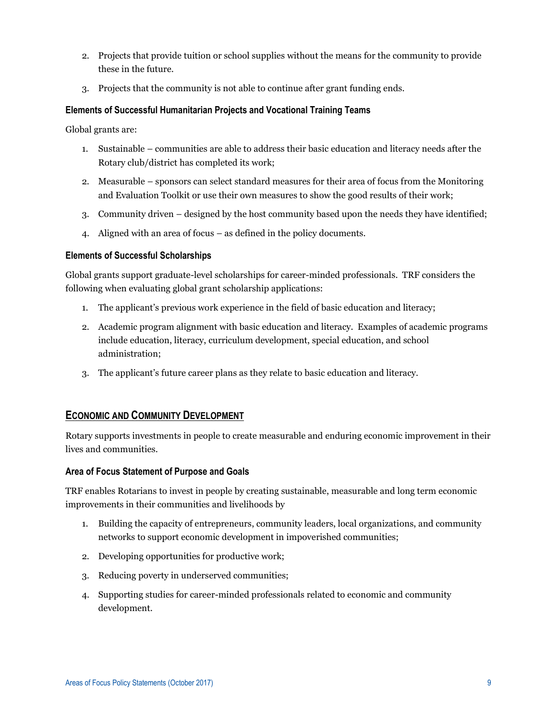- 2. Projects that provide tuition or school supplies without the means for the community to provide these in the future.
- 3. Projects that the community is not able to continue after grant funding ends.

## **Elements of Successful Humanitarian Projects and Vocational Training Teams**

Global grants are:

- 1. Sustainable communities are able to address their basic education and literacy needs after the Rotary club/district has completed its work;
- 2. Measurable sponsors can select standard measures for their area of focus from the Monitoring and Evaluation Toolkit or use their own measures to show the good results of their work;
- 3. Community driven designed by the host community based upon the needs they have identified;
- 4. Aligned with an area of focus as defined in the policy documents.

#### **Elements of Successful Scholarships**

Global grants support graduate-level scholarships for career-minded professionals. TRF considers the following when evaluating global grant scholarship applications:

- 1. The applicant's previous work experience in the field of basic education and literacy;
- 2. Academic program alignment with basic education and literacy. Examples of academic programs include education, literacy, curriculum development, special education, and school administration;
- 3. The applicant's future career plans as they relate to basic education and literacy.

# **ECONOMIC AND COMMUNITY DEVELOPMENT**

Rotary supports investments in people to create measurable and enduring economic improvement in their lives and communities.

#### **Area of Focus Statement of Purpose and Goals**

TRF enables Rotarians to invest in people by creating sustainable, measurable and long term economic improvements in their communities and livelihoods by

- 1. Building the capacity of entrepreneurs, community leaders, local organizations, and community networks to support economic development in impoverished communities;
- 2. Developing opportunities for productive work;
- 3. Reducing poverty in underserved communities;
- 4. Supporting studies for career-minded professionals related to economic and community development.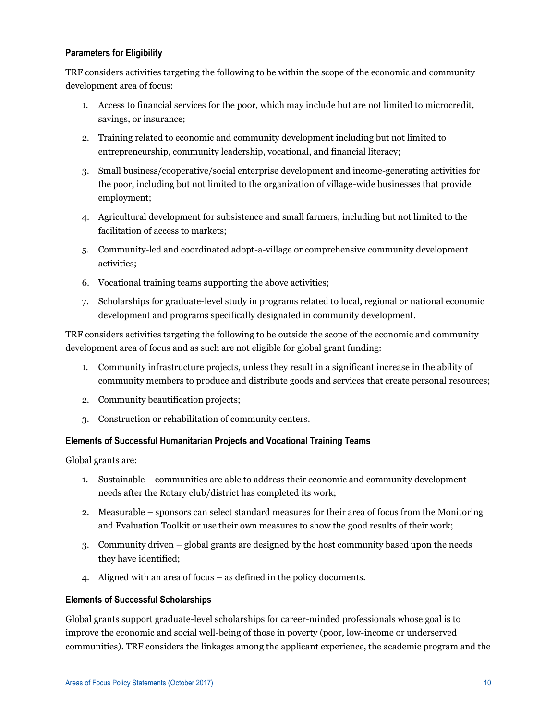## **Parameters for Eligibility**

TRF considers activities targeting the following to be within the scope of the economic and community development area of focus:

- 1. Access to financial services for the poor, which may include but are not limited to microcredit, savings, or insurance;
- 2. Training related to economic and community development including but not limited to entrepreneurship, community leadership, vocational, and financial literacy;
- 3. Small business/cooperative/social enterprise development and income-generating activities for the poor, including but not limited to the organization of village-wide businesses that provide employment;
- 4. Agricultural development for subsistence and small farmers, including but not limited to the facilitation of access to markets;
- 5. Community-led and coordinated adopt-a-village or comprehensive community development activities;
- 6. Vocational training teams supporting the above activities;
- 7. Scholarships for graduate-level study in programs related to local, regional or national economic development and programs specifically designated in community development.

TRF considers activities targeting the following to be outside the scope of the economic and community development area of focus and as such are not eligible for global grant funding:

- 1. Community infrastructure projects, unless they result in a significant increase in the ability of community members to produce and distribute goods and services that create personal resources;
- 2. Community beautification projects;
- 3. Construction or rehabilitation of community centers.

#### **Elements of Successful Humanitarian Projects and Vocational Training Teams**

Global grants are:

- 1. Sustainable communities are able to address their economic and community development needs after the Rotary club/district has completed its work;
- 2. Measurable sponsors can select standard measures for their area of focus from the Monitoring and Evaluation Toolkit or use their own measures to show the good results of their work;
- 3. Community driven global grants are designed by the host community based upon the needs they have identified;
- 4. Aligned with an area of focus as defined in the policy documents.

#### **Elements of Successful Scholarships**

Global grants support graduate-level scholarships for career-minded professionals whose goal is to improve the economic and social well-being of those in poverty (poor, low-income or underserved communities). TRF considers the linkages among the applicant experience, the academic program and the